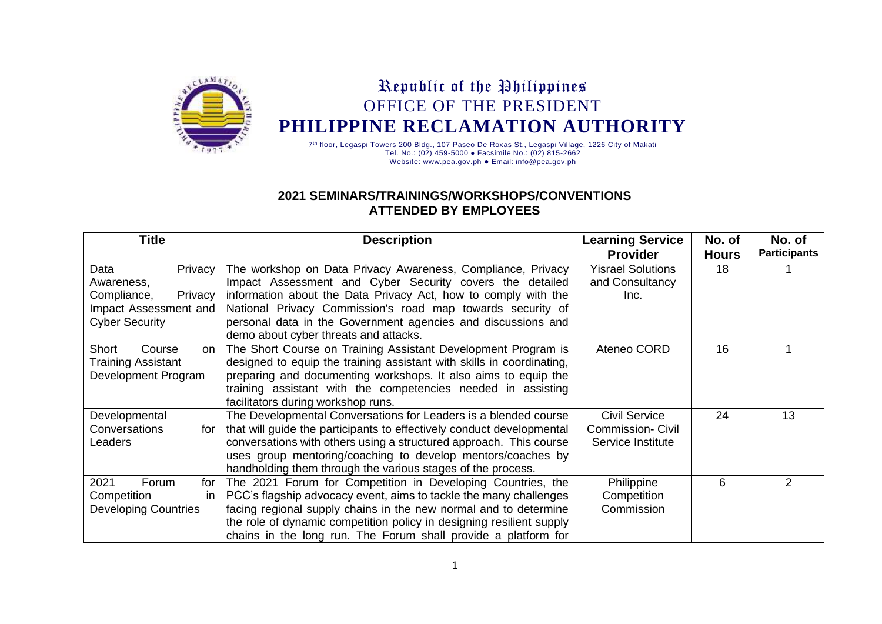

## Republic of the Philippines OFFICE OF THE PRESIDENT **PHILIPPINE RECLAMATION AUTHORITY**

7<sup>th</sup> floor, Legaspi Towers 200 Bldg., 107 Paseo De Roxas St., Legaspi Village, 1226 City of Makati Tel. No.: (02) 459-5000 ⚫ Facsimile No.: (02) 815-2662 Website[: www.pea.gov.ph](http://www.pea.gov.ph/) ⚫ Email: info@pea.gov.ph

## **2021 SEMINARS/TRAININGS/WORKSHOPS/CONVENTIONS ATTENDED BY EMPLOYEES**

| <b>Title</b>                | <b>Description</b>                                                    | <b>Learning Service</b>  | No. of       | No. of              |
|-----------------------------|-----------------------------------------------------------------------|--------------------------|--------------|---------------------|
|                             |                                                                       | <b>Provider</b>          | <b>Hours</b> | <b>Participants</b> |
| Data<br>Privacy             | The workshop on Data Privacy Awareness, Compliance, Privacy           | <b>Yisrael Solutions</b> | 18           |                     |
| Awareness,                  | Impact Assessment and Cyber Security covers the detailed              | and Consultancy          |              |                     |
| Compliance,<br>Privacy      | information about the Data Privacy Act, how to comply with the        | Inc.                     |              |                     |
| Impact Assessment and       | National Privacy Commission's road map towards security of            |                          |              |                     |
| <b>Cyber Security</b>       | personal data in the Government agencies and discussions and          |                          |              |                     |
|                             | demo about cyber threats and attacks.                                 |                          |              |                     |
| Short<br>Course<br>on       | The Short Course on Training Assistant Development Program is         | Ateneo CORD              | 16           |                     |
| <b>Training Assistant</b>   | designed to equip the training assistant with skills in coordinating, |                          |              |                     |
| Development Program         | preparing and documenting workshops. It also aims to equip the        |                          |              |                     |
|                             | training assistant with the competencies needed in assisting          |                          |              |                     |
|                             | facilitators during workshop runs.                                    |                          |              |                     |
| Developmental               | The Developmental Conversations for Leaders is a blended course       | <b>Civil Service</b>     | 24           | 13                  |
| Conversations<br>for        | that will guide the participants to effectively conduct developmental | <b>Commission- Civil</b> |              |                     |
| Leaders                     | conversations with others using a structured approach. This course    | Service Institute        |              |                     |
|                             | uses group mentoring/coaching to develop mentors/coaches by           |                          |              |                     |
|                             | handholding them through the various stages of the process.           |                          |              |                     |
| 2021<br>Forum<br>for        | The 2021 Forum for Competition in Developing Countries, the           | Philippine               | 6            | $\mathcal{P}$       |
| Competition<br>in.          | PCC's flagship advocacy event, aims to tackle the many challenges     | Competition              |              |                     |
| <b>Developing Countries</b> | facing regional supply chains in the new normal and to determine      | Commission               |              |                     |
|                             | the role of dynamic competition policy in designing resilient supply  |                          |              |                     |
|                             | chains in the long run. The Forum shall provide a platform for        |                          |              |                     |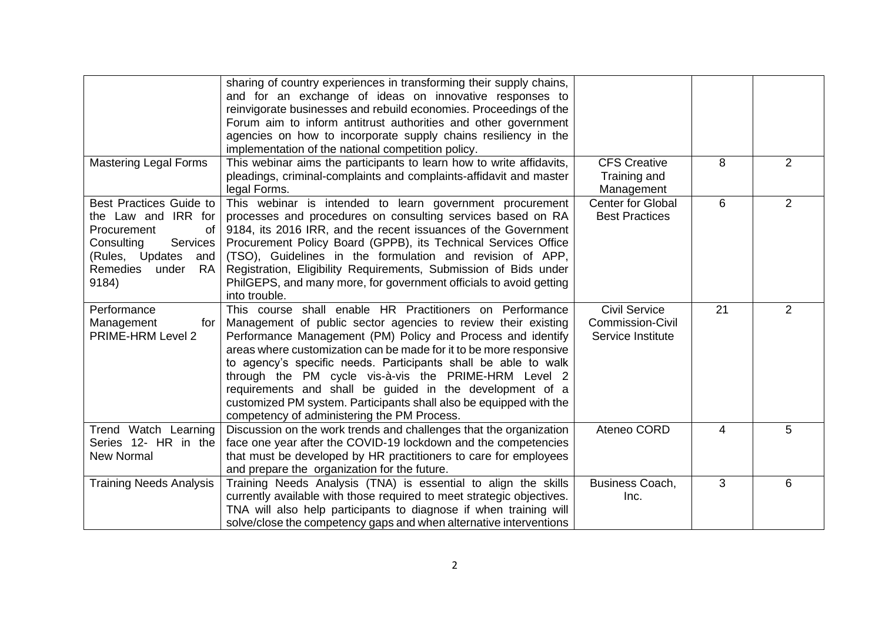|                                                                                                                                                                           | sharing of country experiences in transforming their supply chains,<br>and for an exchange of ideas on innovative responses to<br>reinvigorate businesses and rebuild economies. Proceedings of the<br>Forum aim to inform antitrust authorities and other government<br>agencies on how to incorporate supply chains resiliency in the<br>implementation of the national competition policy.                                                                                                                                                                             |                                                                      |    |                |
|---------------------------------------------------------------------------------------------------------------------------------------------------------------------------|---------------------------------------------------------------------------------------------------------------------------------------------------------------------------------------------------------------------------------------------------------------------------------------------------------------------------------------------------------------------------------------------------------------------------------------------------------------------------------------------------------------------------------------------------------------------------|----------------------------------------------------------------------|----|----------------|
| <b>Mastering Legal Forms</b>                                                                                                                                              | This webinar aims the participants to learn how to write affidavits,<br>pleadings, criminal-complaints and complaints-affidavit and master<br>legal Forms.                                                                                                                                                                                                                                                                                                                                                                                                                | <b>CFS Creative</b><br>Training and<br>Management                    | 8  | $\overline{2}$ |
| Best Practices Guide to<br>the Law and IRR for<br>Procurement<br>of<br>Consulting<br>Services<br>(Rules, Updates<br>and<br><b>Remedies</b><br><b>RA</b><br>under<br>9184) | This webinar is intended to learn government procurement<br>processes and procedures on consulting services based on RA<br>9184, its 2016 IRR, and the recent issuances of the Government<br>Procurement Policy Board (GPPB), its Technical Services Office<br>(TSO), Guidelines in the formulation and revision of APP,<br>Registration, Eligibility Requirements, Submission of Bids under<br>PhilGEPS, and many more, for government officials to avoid getting<br>into trouble.                                                                                       | Center for Global<br><b>Best Practices</b>                           | 6  | $\overline{2}$ |
| Performance<br>Management<br>for<br><b>PRIME-HRM Level 2</b>                                                                                                              | This course shall enable HR Practitioners on Performance<br>Management of public sector agencies to review their existing<br>Performance Management (PM) Policy and Process and identify<br>areas where customization can be made for it to be more responsive<br>to agency's specific needs. Participants shall be able to walk<br>through the PM cycle vis-à-vis the PRIME-HRM Level 2<br>requirements and shall be guided in the development of a<br>customized PM system. Participants shall also be equipped with the<br>competency of administering the PM Process. | <b>Civil Service</b><br><b>Commission-Civil</b><br>Service Institute | 21 | $\overline{2}$ |
| Trend Watch Learning<br>Series 12- HR in the<br><b>New Normal</b>                                                                                                         | Discussion on the work trends and challenges that the organization<br>face one year after the COVID-19 lockdown and the competencies<br>that must be developed by HR practitioners to care for employees<br>and prepare the organization for the future.                                                                                                                                                                                                                                                                                                                  | Ateneo CORD                                                          | 4  | 5              |
| <b>Training Needs Analysis</b>                                                                                                                                            | Training Needs Analysis (TNA) is essential to align the skills<br>currently available with those required to meet strategic objectives.<br>TNA will also help participants to diagnose if when training will<br>solve/close the competency gaps and when alternative interventions                                                                                                                                                                                                                                                                                        | Business Coach,<br>Inc.                                              | 3  | 6              |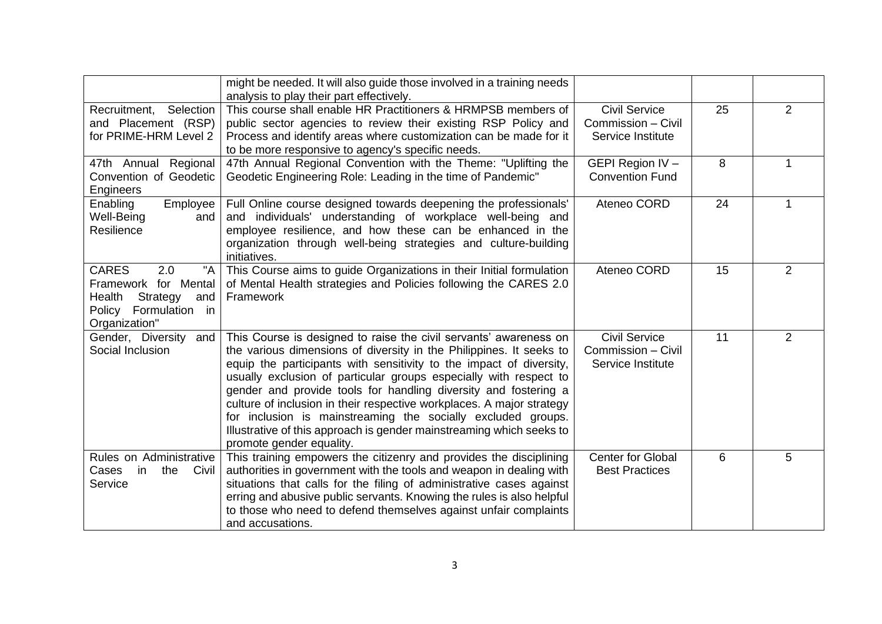|                                                                                                                          | might be needed. It will also guide those involved in a training needs<br>analysis to play their part effectively.                                                                                                                                                                                                                                                                                                                                                                                                                                                                                   |                                                                 |    |                |
|--------------------------------------------------------------------------------------------------------------------------|------------------------------------------------------------------------------------------------------------------------------------------------------------------------------------------------------------------------------------------------------------------------------------------------------------------------------------------------------------------------------------------------------------------------------------------------------------------------------------------------------------------------------------------------------------------------------------------------------|-----------------------------------------------------------------|----|----------------|
| Recruitment,<br>Selection<br>and Placement (RSP)<br>for PRIME-HRM Level 2                                                | This course shall enable HR Practitioners & HRMPSB members of<br>public sector agencies to review their existing RSP Policy and<br>Process and identify areas where customization can be made for it<br>to be more responsive to agency's specific needs.                                                                                                                                                                                                                                                                                                                                            | <b>Civil Service</b><br>Commission - Civil<br>Service Institute | 25 | $\overline{2}$ |
| 47th Annual Regional<br>Convention of Geodetic<br>Engineers                                                              | 47th Annual Regional Convention with the Theme: "Uplifting the<br>Geodetic Engineering Role: Leading in the time of Pandemic"                                                                                                                                                                                                                                                                                                                                                                                                                                                                        | GEPI Region IV -<br><b>Convention Fund</b>                      | 8  | 1              |
| Enabling<br>Employee<br>Well-Being<br>and<br>Resilience                                                                  | Full Online course designed towards deepening the professionals'<br>and individuals' understanding of workplace well-being and<br>employee resilience, and how these can be enhanced in the<br>organization through well-being strategies and culture-building<br>initiatives.                                                                                                                                                                                                                                                                                                                       | Ateneo CORD                                                     | 24 | 1              |
| <b>CARES</b><br>"A<br>2.0<br>Framework for Mental<br>Strategy<br>Health<br>and<br>Policy Formulation in<br>Organization" | This Course aims to guide Organizations in their Initial formulation<br>of Mental Health strategies and Policies following the CARES 2.0<br>Framework                                                                                                                                                                                                                                                                                                                                                                                                                                                | Ateneo CORD                                                     | 15 | $\overline{2}$ |
| Gender, Diversity<br>and<br>Social Inclusion                                                                             | This Course is designed to raise the civil servants' awareness on<br>the various dimensions of diversity in the Philippines. It seeks to<br>equip the participants with sensitivity to the impact of diversity,<br>usually exclusion of particular groups especially with respect to<br>gender and provide tools for handling diversity and fostering a<br>culture of inclusion in their respective workplaces. A major strategy<br>for inclusion is mainstreaming the socially excluded groups.<br>Illustrative of this approach is gender mainstreaming which seeks to<br>promote gender equality. | <b>Civil Service</b><br>Commission - Civil<br>Service Institute | 11 | $\overline{2}$ |
| Rules on Administrative<br>in<br>the<br>Civil<br>Cases<br>Service                                                        | This training empowers the citizenry and provides the disciplining<br>authorities in government with the tools and weapon in dealing with<br>situations that calls for the filing of administrative cases against<br>erring and abusive public servants. Knowing the rules is also helpful<br>to those who need to defend themselves against unfair complaints<br>and accusations.                                                                                                                                                                                                                   | <b>Center for Global</b><br><b>Best Practices</b>               | 6  | 5              |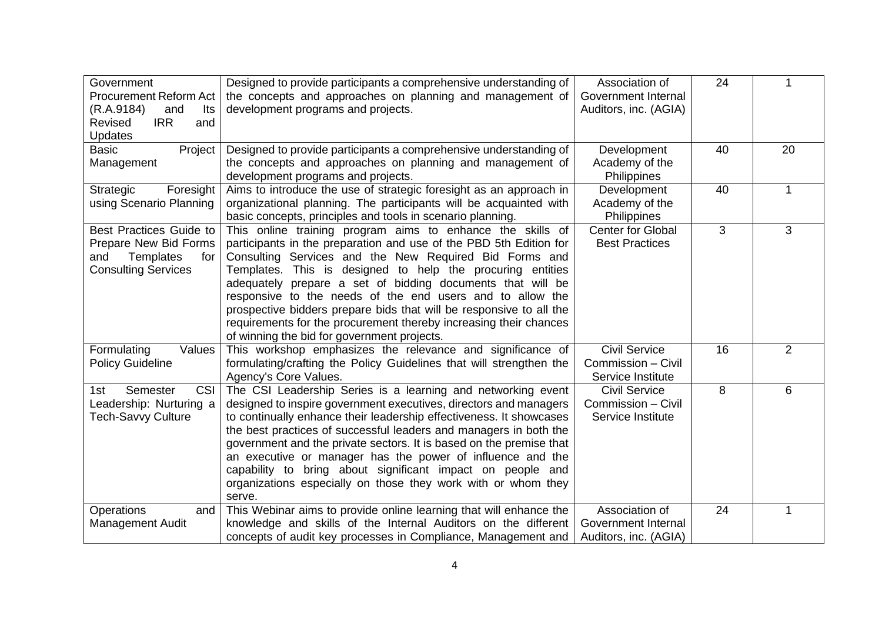| Government<br><b>Procurement Reform Act</b><br>(R.A.9184)<br>Its<br>and<br><b>IRR</b><br>Revised<br>and<br>Updates | Designed to provide participants a comprehensive understanding of<br>the concepts and approaches on planning and management of<br>development programs and projects.                                                                                                                                                                                                                                                                                                                                                                                                           | Association of<br>Government Internal<br>Auditors, inc. (AGIA)  | 24 | 1              |
|--------------------------------------------------------------------------------------------------------------------|--------------------------------------------------------------------------------------------------------------------------------------------------------------------------------------------------------------------------------------------------------------------------------------------------------------------------------------------------------------------------------------------------------------------------------------------------------------------------------------------------------------------------------------------------------------------------------|-----------------------------------------------------------------|----|----------------|
| <b>Basic</b><br>Project<br>Management                                                                              | Designed to provide participants a comprehensive understanding of<br>the concepts and approaches on planning and management of<br>development programs and projects.                                                                                                                                                                                                                                                                                                                                                                                                           | Development<br>Academy of the<br>Philippines                    | 40 | 20             |
| Strategic<br>Foresight<br>using Scenario Planning                                                                  | Aims to introduce the use of strategic foresight as an approach in<br>organizational planning. The participants will be acquainted with<br>basic concepts, principles and tools in scenario planning.                                                                                                                                                                                                                                                                                                                                                                          | Development<br>Academy of the<br>Philippines                    | 40 | $\mathbf 1$    |
| Best Practices Guide to<br>Prepare New Bid Forms<br>Templates<br>for<br>and<br><b>Consulting Services</b>          | This online training program aims to enhance the skills of<br>participants in the preparation and use of the PBD 5th Edition for<br>Consulting Services and the New Required Bid Forms and<br>Templates. This is designed to help the procuring entities<br>adequately prepare a set of bidding documents that will be<br>responsive to the needs of the end users and to allow the<br>prospective bidders prepare bids that will be responsive to all the<br>requirements for the procurement thereby increasing their chances<br>of winning the bid for government projects. | <b>Center for Global</b><br><b>Best Practices</b>               | 3  | 3              |
| Formulating<br>Values<br><b>Policy Guideline</b>                                                                   | This workshop emphasizes the relevance and significance of<br>formulating/crafting the Policy Guidelines that will strengthen the<br>Agency's Core Values.                                                                                                                                                                                                                                                                                                                                                                                                                     | <b>Civil Service</b><br>Commission - Civil<br>Service Institute | 16 | $\overline{2}$ |
| <b>CSI</b><br>Semester<br>1st.<br>Leadership: Nurturing a<br>Tech-Savvy Culture                                    | The CSI Leadership Series is a learning and networking event<br>designed to inspire government executives, directors and managers<br>to continually enhance their leadership effectiveness. It showcases<br>the best practices of successful leaders and managers in both the<br>government and the private sectors. It is based on the premise that<br>an executive or manager has the power of influence and the<br>capability to bring about significant impact on people and<br>organizations especially on those they work with or whom they<br>serve.                    | <b>Civil Service</b><br>Commission - Civil<br>Service Institute | 8  | 6              |
| Operations<br>and<br><b>Management Audit</b>                                                                       | This Webinar aims to provide online learning that will enhance the<br>knowledge and skills of the Internal Auditors on the different<br>concepts of audit key processes in Compliance, Management and                                                                                                                                                                                                                                                                                                                                                                          | Association of<br>Government Internal<br>Auditors, inc. (AGIA)  | 24 | 1              |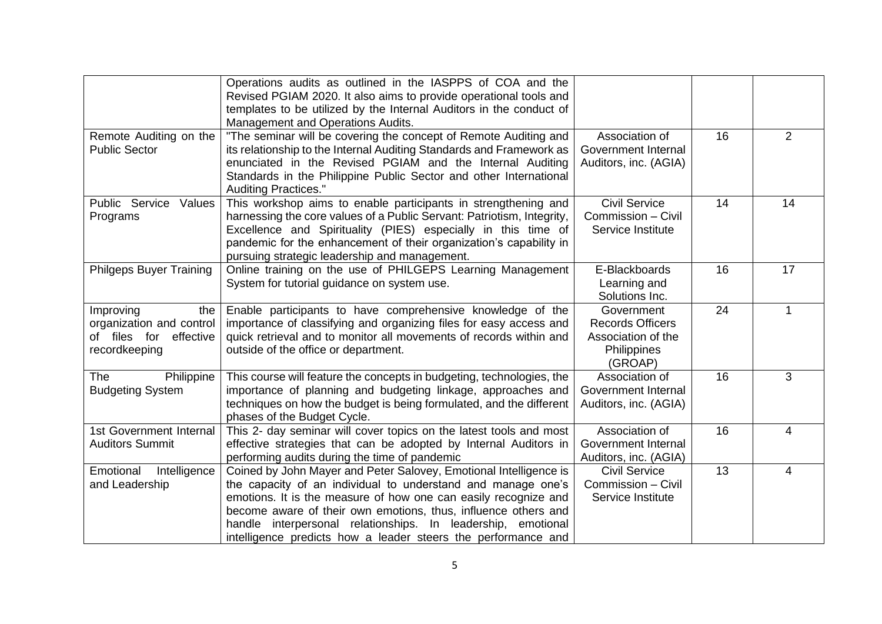|                                                                                         | Operations audits as outlined in the IASPPS of COA and the<br>Revised PGIAM 2020. It also aims to provide operational tools and<br>templates to be utilized by the Internal Auditors in the conduct of<br>Management and Operations Audits.                                                                                                                                                             |                                                                                       |    |                |
|-----------------------------------------------------------------------------------------|---------------------------------------------------------------------------------------------------------------------------------------------------------------------------------------------------------------------------------------------------------------------------------------------------------------------------------------------------------------------------------------------------------|---------------------------------------------------------------------------------------|----|----------------|
| Remote Auditing on the<br><b>Public Sector</b>                                          | "The seminar will be covering the concept of Remote Auditing and<br>its relationship to the Internal Auditing Standards and Framework as<br>enunciated in the Revised PGIAM and the Internal Auditing<br>Standards in the Philippine Public Sector and other International<br><b>Auditing Practices."</b>                                                                                               | Association of<br>Government Internal<br>Auditors, inc. (AGIA)                        | 16 | $\overline{2}$ |
| Public Service Values<br>Programs                                                       | This workshop aims to enable participants in strengthening and<br>harnessing the core values of a Public Servant: Patriotism, Integrity,<br>Excellence and Spirituality (PIES) especially in this time of<br>pandemic for the enhancement of their organization's capability in<br>pursuing strategic leadership and management.                                                                        | <b>Civil Service</b><br>Commission - Civil<br>Service Institute                       | 14 | 14             |
| <b>Philgeps Buyer Training</b>                                                          | Online training on the use of PHILGEPS Learning Management<br>System for tutorial guidance on system use.                                                                                                                                                                                                                                                                                               | E-Blackboards<br>Learning and<br>Solutions Inc.                                       | 16 | 17             |
| Improving<br>the<br>organization and control<br>of files for effective<br>recordkeeping | Enable participants to have comprehensive knowledge of the<br>importance of classifying and organizing files for easy access and<br>quick retrieval and to monitor all movements of records within and<br>outside of the office or department.                                                                                                                                                          | Government<br><b>Records Officers</b><br>Association of the<br>Philippines<br>(GROAP) | 24 | 1              |
| <b>The</b><br>Philippine<br><b>Budgeting System</b>                                     | This course will feature the concepts in budgeting, technologies, the<br>importance of planning and budgeting linkage, approaches and<br>techniques on how the budget is being formulated, and the different<br>phases of the Budget Cycle.                                                                                                                                                             | Association of<br>Government Internal<br>Auditors, inc. (AGIA)                        | 16 | 3              |
| 1st Government Internal<br><b>Auditors Summit</b>                                       | This 2- day seminar will cover topics on the latest tools and most<br>effective strategies that can be adopted by Internal Auditors in<br>performing audits during the time of pandemic                                                                                                                                                                                                                 | Association of<br>Government Internal<br>Auditors, inc. (AGIA)                        | 16 | 4              |
| Emotional<br>Intelligence<br>and Leadership                                             | Coined by John Mayer and Peter Salovey, Emotional Intelligence is<br>the capacity of an individual to understand and manage one's<br>emotions. It is the measure of how one can easily recognize and<br>become aware of their own emotions, thus, influence others and<br>handle interpersonal relationships. In leadership, emotional<br>intelligence predicts how a leader steers the performance and | <b>Civil Service</b><br>Commission - Civil<br>Service Institute                       | 13 | 4              |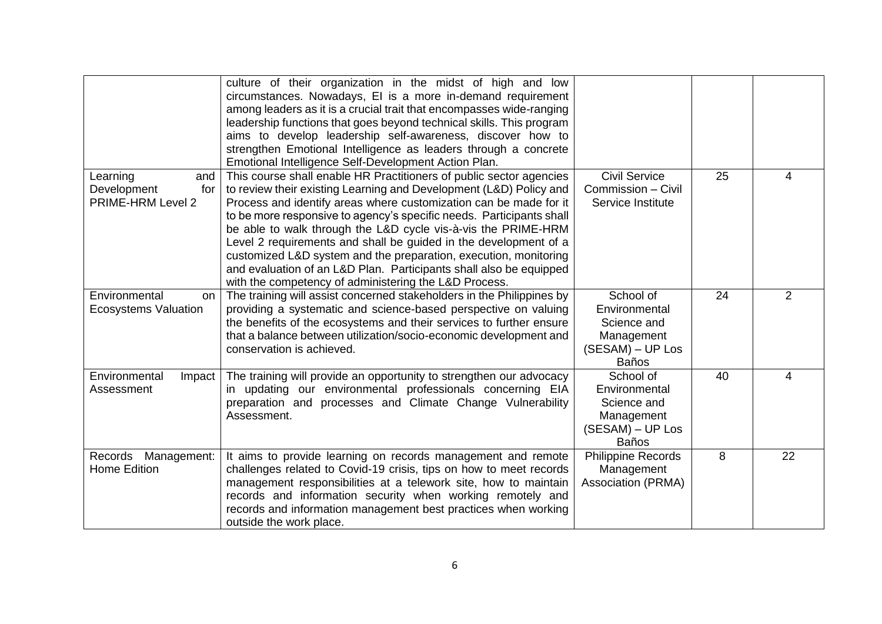|                                                            | culture of their organization in the midst of high and low<br>circumstances. Nowadays, El is a more in-demand requirement<br>among leaders as it is a crucial trait that encompasses wide-ranging<br>leadership functions that goes beyond technical skills. This program<br>aims to develop leadership self-awareness, discover how to<br>strengthen Emotional Intelligence as leaders through a concrete<br>Emotional Intelligence Self-Development Action Plan.                                                                                                                                                             |                                                                                             |    |                |
|------------------------------------------------------------|--------------------------------------------------------------------------------------------------------------------------------------------------------------------------------------------------------------------------------------------------------------------------------------------------------------------------------------------------------------------------------------------------------------------------------------------------------------------------------------------------------------------------------------------------------------------------------------------------------------------------------|---------------------------------------------------------------------------------------------|----|----------------|
| Learning<br>and<br>Development<br>for<br>PRIME-HRM Level 2 | This course shall enable HR Practitioners of public sector agencies<br>to review their existing Learning and Development (L&D) Policy and<br>Process and identify areas where customization can be made for it<br>to be more responsive to agency's specific needs. Participants shall<br>be able to walk through the L&D cycle vis-à-vis the PRIME-HRM<br>Level 2 requirements and shall be guided in the development of a<br>customized L&D system and the preparation, execution, monitoring<br>and evaluation of an L&D Plan. Participants shall also be equipped<br>with the competency of administering the L&D Process. | <b>Civil Service</b><br>Commission - Civil<br>Service Institute                             | 25 | 4              |
| Environmental<br>on<br><b>Ecosystems Valuation</b>         | The training will assist concerned stakeholders in the Philippines by<br>providing a systematic and science-based perspective on valuing<br>the benefits of the ecosystems and their services to further ensure<br>that a balance between utilization/socio-economic development and<br>conservation is achieved.                                                                                                                                                                                                                                                                                                              | School of<br>Environmental<br>Science and<br>Management<br>(SESAM) - UP Los<br><b>Baños</b> | 24 | $\overline{2}$ |
| Environmental<br>Impact<br>Assessment                      | The training will provide an opportunity to strengthen our advocacy<br>in updating our environmental professionals concerning EIA<br>preparation and processes and Climate Change Vulnerability<br>Assessment.                                                                                                                                                                                                                                                                                                                                                                                                                 | School of<br>Environmental<br>Science and<br>Management<br>(SESAM) - UP Los<br><b>Baños</b> | 40 | 4              |
| Records Management:<br>Home Edition                        | It aims to provide learning on records management and remote<br>challenges related to Covid-19 crisis, tips on how to meet records<br>management responsibilities at a telework site, how to maintain<br>records and information security when working remotely and<br>records and information management best practices when working<br>outside the work place.                                                                                                                                                                                                                                                               | <b>Philippine Records</b><br>Management<br>Association (PRMA)                               | 8  | 22             |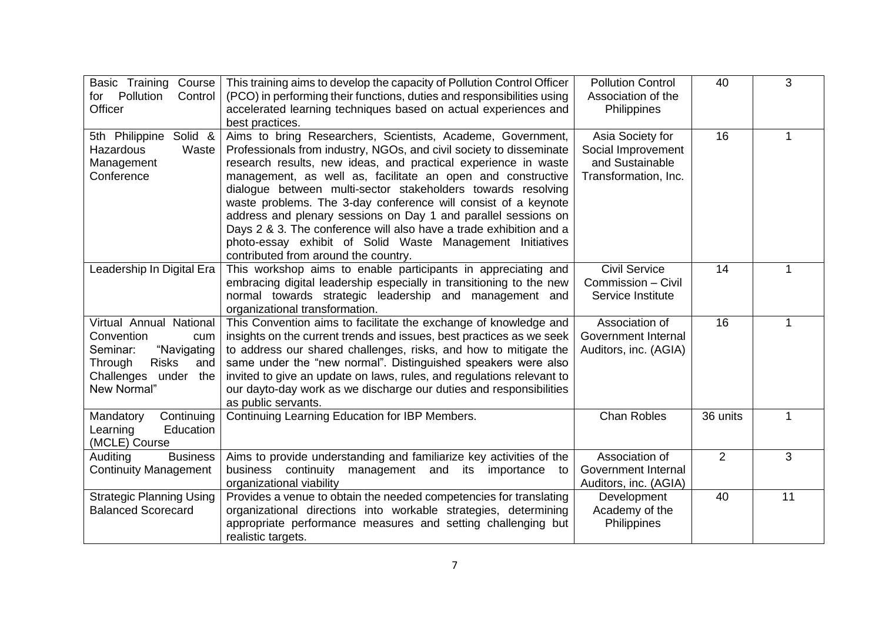| Basic Training<br>Course<br>for Pollution<br>Control<br>Officer                                                                                     | This training aims to develop the capacity of Pollution Control Officer<br>(PCO) in performing their functions, duties and responsibilities using<br>accelerated learning techniques based on actual experiences and<br>best practices.                                                                                                                                                                                                                                                                                                                                                                                                            | <b>Pollution Control</b><br>Association of the<br>Philippines                     | 40             | 3  |
|-----------------------------------------------------------------------------------------------------------------------------------------------------|----------------------------------------------------------------------------------------------------------------------------------------------------------------------------------------------------------------------------------------------------------------------------------------------------------------------------------------------------------------------------------------------------------------------------------------------------------------------------------------------------------------------------------------------------------------------------------------------------------------------------------------------------|-----------------------------------------------------------------------------------|----------------|----|
| 5th Philippine Solid &<br>Hazardous<br>Waste<br>Management<br>Conference                                                                            | Aims to bring Researchers, Scientists, Academe, Government,<br>Professionals from industry, NGOs, and civil society to disseminate<br>research results, new ideas, and practical experience in waste<br>management, as well as, facilitate an open and constructive<br>dialogue between multi-sector stakeholders towards resolving<br>waste problems. The 3-day conference will consist of a keynote<br>address and plenary sessions on Day 1 and parallel sessions on<br>Days 2 & 3. The conference will also have a trade exhibition and a<br>photo-essay exhibit of Solid Waste Management Initiatives<br>contributed from around the country. | Asia Society for<br>Social Improvement<br>and Sustainable<br>Transformation, Inc. | 16             |    |
| Leadership In Digital Era                                                                                                                           | This workshop aims to enable participants in appreciating and<br>embracing digital leadership especially in transitioning to the new<br>normal towards strategic leadership and management and<br>organizational transformation.                                                                                                                                                                                                                                                                                                                                                                                                                   | <b>Civil Service</b><br>Commission - Civil<br>Service Institute                   | 14             | 1  |
| Virtual Annual National<br>Convention<br>cum<br>"Navigating<br>Seminar:<br><b>Risks</b><br>Through<br>and<br>Challenges<br>under the<br>New Normal" | This Convention aims to facilitate the exchange of knowledge and<br>insights on the current trends and issues, best practices as we seek<br>to address our shared challenges, risks, and how to mitigate the<br>same under the "new normal". Distinguished speakers were also<br>invited to give an update on laws, rules, and regulations relevant to<br>our dayto-day work as we discharge our duties and responsibilities<br>as public servants.                                                                                                                                                                                                | Association of<br>Government Internal<br>Auditors, inc. (AGIA)                    | 16             | 1  |
| Mandatory<br>Continuing<br>Education<br>Learning<br>(MCLE) Course                                                                                   | Continuing Learning Education for IBP Members.                                                                                                                                                                                                                                                                                                                                                                                                                                                                                                                                                                                                     | <b>Chan Robles</b>                                                                | 36 units       | 1  |
| <b>Business</b><br>Auditing<br><b>Continuity Management</b>                                                                                         | Aims to provide understanding and familiarize key activities of the<br>business continuity<br>management and its importance<br>to<br>organizational viability                                                                                                                                                                                                                                                                                                                                                                                                                                                                                      | Association of<br>Government Internal<br>Auditors, inc. (AGIA)                    | $\overline{2}$ | 3  |
| <b>Strategic Planning Using</b><br><b>Balanced Scorecard</b>                                                                                        | Provides a venue to obtain the needed competencies for translating<br>organizational directions into workable strategies, determining<br>appropriate performance measures and setting challenging but<br>realistic targets.                                                                                                                                                                                                                                                                                                                                                                                                                        | Development<br>Academy of the<br>Philippines                                      | 40             | 11 |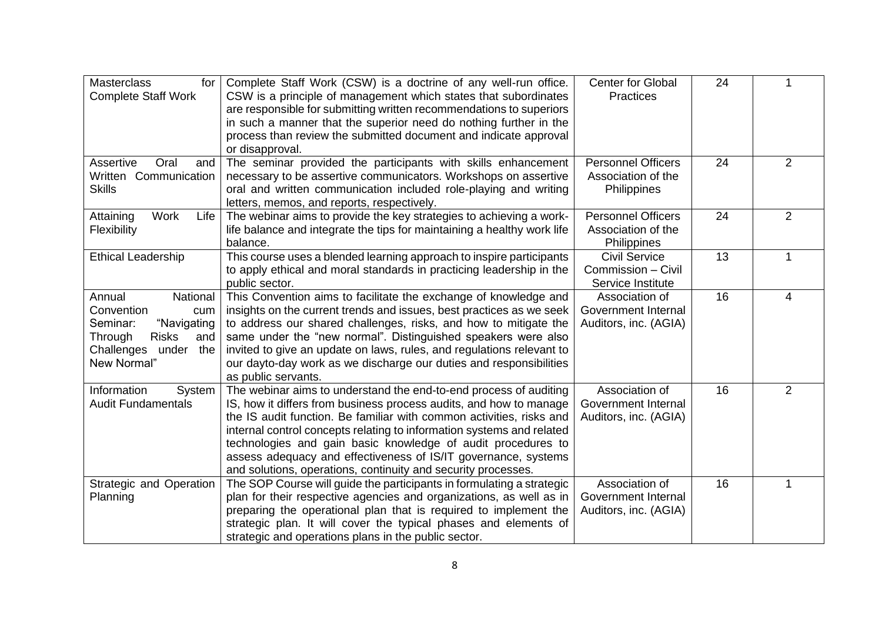| <b>Masterclass</b><br>for<br><b>Complete Staff Work</b>                                                                                        | Complete Staff Work (CSW) is a doctrine of any well-run office.<br>CSW is a principle of management which states that subordinates<br>are responsible for submitting written recommendations to superiors<br>in such a manner that the superior need do nothing further in the<br>process than review the submitted document and indicate approval<br>or disapproval.                                                                                                                       | <b>Center for Global</b><br><b>Practices</b>                    | 24 | 1              |
|------------------------------------------------------------------------------------------------------------------------------------------------|---------------------------------------------------------------------------------------------------------------------------------------------------------------------------------------------------------------------------------------------------------------------------------------------------------------------------------------------------------------------------------------------------------------------------------------------------------------------------------------------|-----------------------------------------------------------------|----|----------------|
| Assertive<br>Oral<br>and<br>Written Communication<br><b>Skills</b>                                                                             | The seminar provided the participants with skills enhancement<br>necessary to be assertive communicators. Workshops on assertive<br>oral and written communication included role-playing and writing<br>letters, memos, and reports, respectively.                                                                                                                                                                                                                                          | <b>Personnel Officers</b><br>Association of the<br>Philippines  | 24 | $\overline{2}$ |
| Work<br>Life<br>Attaining<br>Flexibility                                                                                                       | The webinar aims to provide the key strategies to achieving a work-<br>life balance and integrate the tips for maintaining a healthy work life<br>balance.                                                                                                                                                                                                                                                                                                                                  | <b>Personnel Officers</b><br>Association of the<br>Philippines  | 24 | $\overline{2}$ |
| <b>Ethical Leadership</b>                                                                                                                      | This course uses a blended learning approach to inspire participants<br>to apply ethical and moral standards in practicing leadership in the<br>public sector.                                                                                                                                                                                                                                                                                                                              | <b>Civil Service</b><br>Commission - Civil<br>Service Institute | 13 | 1              |
| Annual<br>National<br>Convention<br>cum<br>"Navigating<br>Seminar:<br>Through<br><b>Risks</b><br>and<br>Challenges<br>under the<br>New Normal" | This Convention aims to facilitate the exchange of knowledge and<br>insights on the current trends and issues, best practices as we seek<br>to address our shared challenges, risks, and how to mitigate the<br>same under the "new normal". Distinguished speakers were also<br>invited to give an update on laws, rules, and regulations relevant to<br>our dayto-day work as we discharge our duties and responsibilities<br>as public servants.                                         | Association of<br>Government Internal<br>Auditors, inc. (AGIA)  | 16 | 4              |
| Information<br>System<br><b>Audit Fundamentals</b>                                                                                             | The webinar aims to understand the end-to-end process of auditing<br>IS, how it differs from business process audits, and how to manage<br>the IS audit function. Be familiar with common activities, risks and<br>internal control concepts relating to information systems and related<br>technologies and gain basic knowledge of audit procedures to<br>assess adequacy and effectiveness of IS/IT governance, systems<br>and solutions, operations, continuity and security processes. | Association of<br>Government Internal<br>Auditors, inc. (AGIA)  | 16 | $\overline{2}$ |
| <b>Strategic and Operation</b><br>Planning                                                                                                     | The SOP Course will guide the participants in formulating a strategic<br>plan for their respective agencies and organizations, as well as in<br>preparing the operational plan that is required to implement the<br>strategic plan. It will cover the typical phases and elements of<br>strategic and operations plans in the public sector.                                                                                                                                                | Association of<br>Government Internal<br>Auditors, inc. (AGIA)  | 16 |                |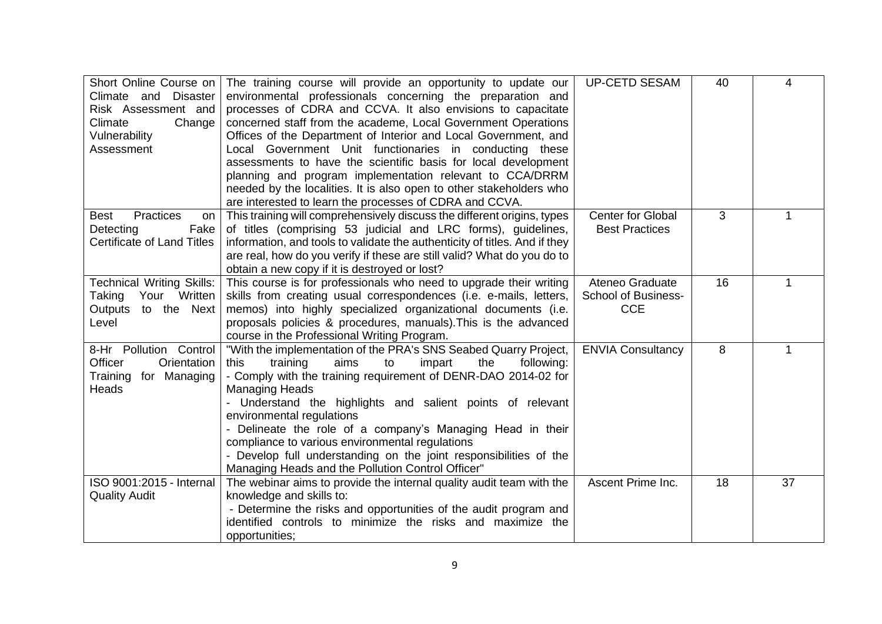| Short Online Course on<br>Climate and<br>Disaster<br>Risk Assessment and<br>Climate<br>Change<br>Vulnerability<br>Assessment | The training course will provide an opportunity to update our<br>environmental professionals concerning the preparation and<br>processes of CDRA and CCVA. It also envisions to capacitate<br>concerned staff from the academe, Local Government Operations<br>Offices of the Department of Interior and Local Government, and<br>Local Government Unit functionaries in conducting these<br>assessments to have the scientific basis for local development<br>planning and program implementation relevant to CCA/DRRM<br>needed by the localities. It is also open to other stakeholders who<br>are interested to learn the processes of CDRA and CCVA. | <b>UP-CETD SESAM</b>                                        | 40 | 4  |
|------------------------------------------------------------------------------------------------------------------------------|-----------------------------------------------------------------------------------------------------------------------------------------------------------------------------------------------------------------------------------------------------------------------------------------------------------------------------------------------------------------------------------------------------------------------------------------------------------------------------------------------------------------------------------------------------------------------------------------------------------------------------------------------------------|-------------------------------------------------------------|----|----|
| Practices<br><b>Best</b><br>on  <br>Detecting<br>Fake<br>Certificate of Land Titles                                          | This training will comprehensively discuss the different origins, types<br>of titles (comprising 53 judicial and LRC forms), guidelines,<br>information, and tools to validate the authenticity of titles. And if they<br>are real, how do you verify if these are still valid? What do you do to<br>obtain a new copy if it is destroyed or lost?                                                                                                                                                                                                                                                                                                        | <b>Center for Global</b><br><b>Best Practices</b>           | 3  | 1  |
| <b>Technical Writing Skills:</b><br>Your Written<br>Taking<br><b>Outputs</b><br>to the Next<br>Level                         | This course is for professionals who need to upgrade their writing<br>skills from creating usual correspondences (i.e. e-mails, letters,<br>memos) into highly specialized organizational documents (i.e.<br>proposals policies & procedures, manuals). This is the advanced<br>course in the Professional Writing Program.                                                                                                                                                                                                                                                                                                                               | Ateneo Graduate<br><b>School of Business-</b><br><b>CCE</b> | 16 | 1  |
| 8-Hr Pollution Control<br>Officer<br>Orientation<br>Training for Managing<br>Heads                                           | "With the implementation of the PRA's SNS Seabed Quarry Project,<br>training<br>aims<br>to<br>impart<br>this<br>the<br>following:<br>- Comply with the training requirement of DENR-DAO 2014-02 for<br><b>Managing Heads</b><br>Understand the highlights and salient points of relevant<br>environmental regulations<br>- Delineate the role of a company's Managing Head in their<br>compliance to various environmental regulations<br>- Develop full understanding on the joint responsibilities of the<br>Managing Heads and the Pollution Control Officer"                                                                                          | <b>ENVIA Consultancy</b>                                    | 8  | 1  |
| ISO 9001:2015 - Internal<br><b>Quality Audit</b>                                                                             | The webinar aims to provide the internal quality audit team with the<br>knowledge and skills to:<br>- Determine the risks and opportunities of the audit program and<br>identified controls to minimize the risks and maximize the<br>opportunities;                                                                                                                                                                                                                                                                                                                                                                                                      | Ascent Prime Inc.                                           | 18 | 37 |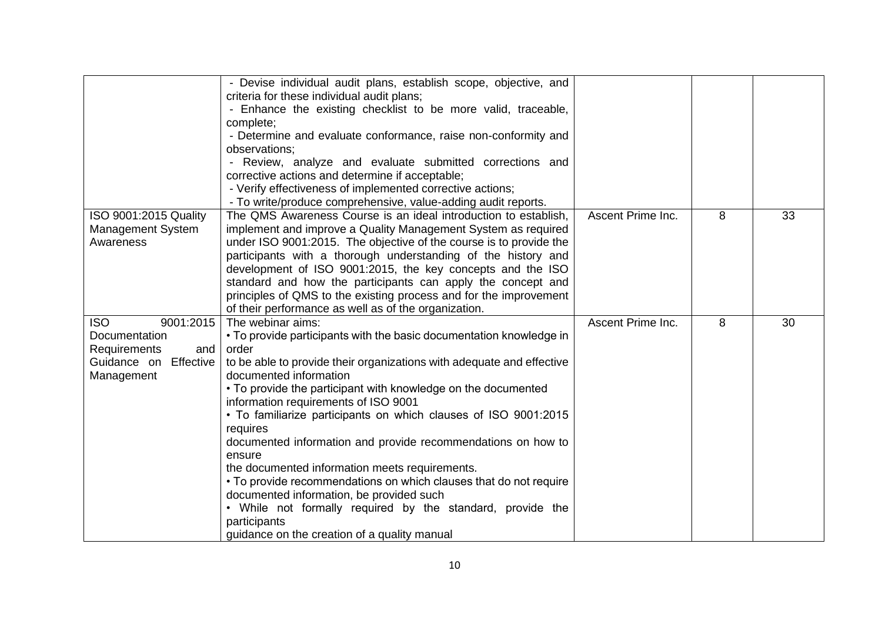|                                                                                                           | - Devise individual audit plans, establish scope, objective, and<br>criteria for these individual audit plans;<br>- Enhance the existing checklist to be more valid, traceable,<br>complete;<br>- Determine and evaluate conformance, raise non-conformity and<br>observations:<br>- Review, analyze and evaluate submitted corrections and<br>corrective actions and determine if acceptable;<br>- Verify effectiveness of implemented corrective actions;<br>- To write/produce comprehensive, value-adding audit reports.                                                                                                                                                                                                                                            |                   |   |    |
|-----------------------------------------------------------------------------------------------------------|-------------------------------------------------------------------------------------------------------------------------------------------------------------------------------------------------------------------------------------------------------------------------------------------------------------------------------------------------------------------------------------------------------------------------------------------------------------------------------------------------------------------------------------------------------------------------------------------------------------------------------------------------------------------------------------------------------------------------------------------------------------------------|-------------------|---|----|
| ISO 9001:2015 Quality<br><b>Management System</b><br>Awareness                                            | The QMS Awareness Course is an ideal introduction to establish,<br>implement and improve a Quality Management System as required<br>under ISO 9001:2015. The objective of the course is to provide the<br>participants with a thorough understanding of the history and<br>development of ISO 9001:2015, the key concepts and the ISO<br>standard and how the participants can apply the concept and<br>principles of QMS to the existing process and for the improvement<br>of their performance as well as of the organization.                                                                                                                                                                                                                                       | Ascent Prime Inc. | 8 | 33 |
| <b>ISO</b><br>9001:2015<br>Documentation<br>Requirements<br>and<br>Guidance on<br>Effective<br>Management | The webinar aims:<br>• To provide participants with the basic documentation knowledge in<br>order<br>to be able to provide their organizations with adequate and effective<br>documented information<br>• To provide the participant with knowledge on the documented<br>information requirements of ISO 9001<br>. To familiarize participants on which clauses of ISO 9001:2015<br>requires<br>documented information and provide recommendations on how to<br>ensure<br>the documented information meets requirements.<br>• To provide recommendations on which clauses that do not require<br>documented information, be provided such<br>• While not formally required by the standard, provide the<br>participants<br>guidance on the creation of a quality manual | Ascent Prime Inc. | 8 | 30 |